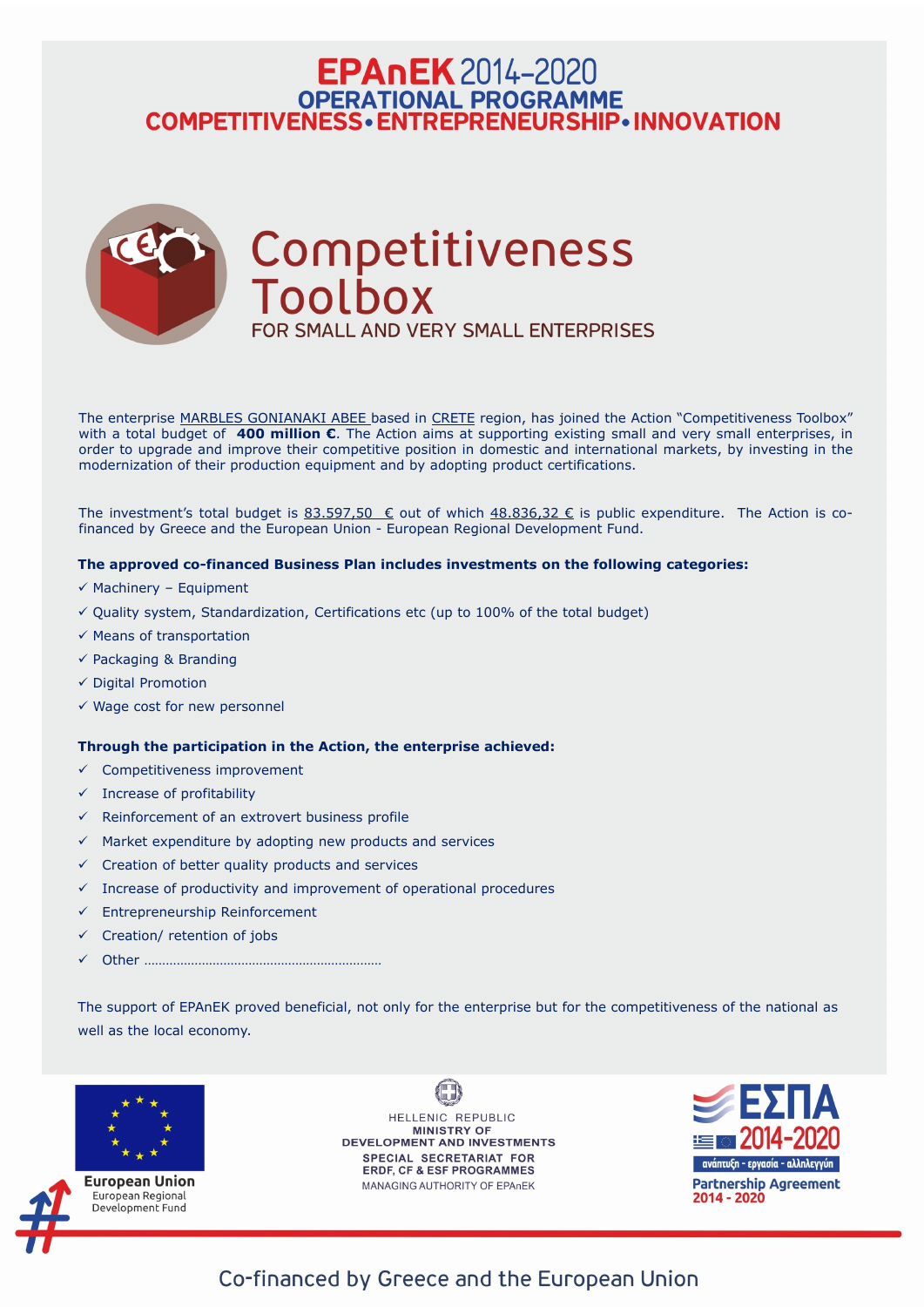# **EPAnEK** 2014-2020 OPERATIONAL PROGRAMME<br>COMPETITIVENESS • ENTREPRENEURSHIP • INNOVATION



The enterprise MARBLES GONIANAKI ABEE based in CRETE region, has joined the Action "Competitiveness Toolbox" with a total budget of **400 million €**. The Action aims at supporting existing small and very small enterprises, in order to upgrade and improve their competitive position in domestic and international markets, by investing in the modernization of their production equipment and by adopting product certifications.

The investment's total budget is 83.597,50  $\epsilon$  out of which 48.836,32  $\epsilon$  is public expenditure. The Action is cofinanced by Greece and the European Union - European Regional Development Fund.

## **The approved co-financed Business Plan includes investments on the following categories:**

- $\checkmark$  Machinery Equipment
- $\checkmark$  Quality system, Standardization, Certifications etc (up to 100% of the total budget)
- ✓ Means of transportation
- $\checkmark$  Packaging & Branding
- ✓ Digital Promotion
- $\checkmark$  Wage cost for new personnel

- $\checkmark$  Competitiveness improvement
- $\checkmark$  Increase of profitability
- $\checkmark$  Reinforcement of an extrovert business profile
- $\checkmark$  Market expenditure by adopting new products and services
- $\checkmark$  Creation of better quality products and services
- $\checkmark$  Increase of productivity and improvement of operational procedures
- $\checkmark$  Entrepreneurship Reinforcement
- ✓ Creation/ retention of jobs
- ✓ Other …………………………………………………………

## **Through the participation in the Action, the enterprise achieved:**

The support of EPAnEK proved beneficial, not only for the enterprise but for the competitiveness of the national as well as the local economy.



European Union European Regional Development Fund

HELLENIC REPUBLIC **MINISTRY OF DEVELOPMENT AND INVESTMENTS** SPECIAL SECRETARIAT FOR **ERDF, CF & ESF PROGRAMMES** 

MANAGING AUTHORITY OF EPAnEK



## Co-financed by Greece and the European Union